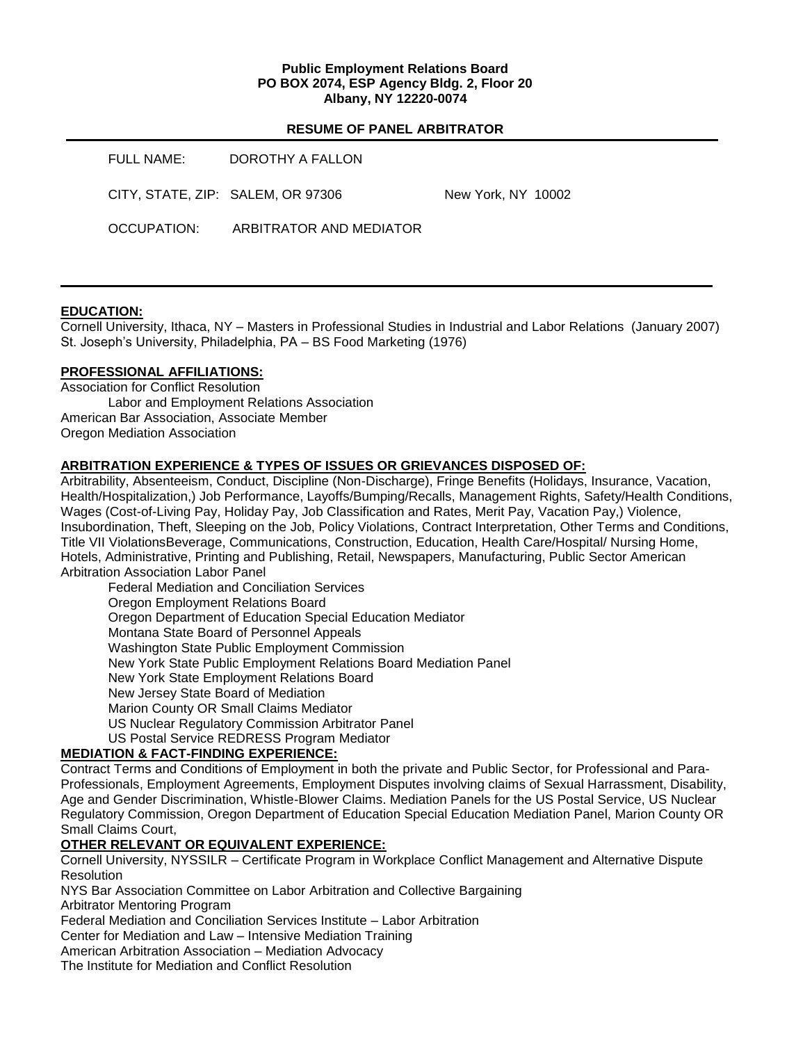#### **Public Employment Relations Board PO BOX 2074, ESP Agency Bldg. 2, Floor 20 Albany, NY 12220-0074**

#### **RESUME OF PANEL ARBITRATOR**

| FULL NAME:                        | DOROTHY A FALLON        |                    |
|-----------------------------------|-------------------------|--------------------|
| CITY, STATE, ZIP: SALEM, OR 97306 |                         | New York, NY 10002 |
| OCCUPATION:                       | ARBITRATOR AND MEDIATOR |                    |

#### **EDUCATION:**

Cornell University, Ithaca, NY – Masters in Professional Studies in Industrial and Labor Relations (January 2007) St. Joseph's University, Philadelphia, PA – BS Food Marketing (1976)

#### **PROFESSIONAL AFFILIATIONS:**

Association for Conflict Resolution Labor and Employment Relations Association American Bar Association, Associate Member Oregon Mediation Association

## **ARBITRATION EXPERIENCE & TYPES OF ISSUES OR GRIEVANCES DISPOSED OF:**

Arbitrability, Absenteeism, Conduct, Discipline (Non-Discharge), Fringe Benefits (Holidays, Insurance, Vacation, Health/Hospitalization,) Job Performance, Layoffs/Bumping/Recalls, Management Rights, Safety/Health Conditions, Wages (Cost-of-Living Pay, Holiday Pay, Job Classification and Rates, Merit Pay, Vacation Pay,) Violence, Insubordination, Theft, Sleeping on the Job, Policy Violations, Contract Interpretation, Other Terms and Conditions, Title VII ViolationsBeverage, Communications, Construction, Education, Health Care/Hospital/ Nursing Home, Hotels, Administrative, Printing and Publishing, Retail, Newspapers, Manufacturing, Public Sector American Arbitration Association Labor Panel

Federal Mediation and Conciliation Services Oregon Employment Relations Board Oregon Department of Education Special Education Mediator Montana State Board of Personnel Appeals Washington State Public Employment Commission New York State Public Employment Relations Board Mediation Panel New York State Employment Relations Board New Jersey State Board of Mediation Marion County OR Small Claims Mediator US Nuclear Regulatory Commission Arbitrator Panel US Postal Service REDRESS Program Mediator

# **MEDIATION & FACT-FINDING EXPERIENCE:**

Contract Terms and Conditions of Employment in both the private and Public Sector, for Professional and Para-Professionals, Employment Agreements, Employment Disputes involving claims of Sexual Harrassment, Disability, Age and Gender Discrimination, Whistle-Blower Claims. Mediation Panels for the US Postal Service, US Nuclear Regulatory Commission, Oregon Department of Education Special Education Mediation Panel, Marion County OR Small Claims Court,

# **OTHER RELEVANT OR EQUIVALENT EXPERIENCE:**

Cornell University, NYSSILR – Certificate Program in Workplace Conflict Management and Alternative Dispute **Resolution** 

NYS Bar Association Committee on Labor Arbitration and Collective Bargaining

Arbitrator Mentoring Program

Federal Mediation and Conciliation Services Institute – Labor Arbitration

Center for Mediation and Law – Intensive Mediation Training

American Arbitration Association – Mediation Advocacy

The Institute for Mediation and Conflict Resolution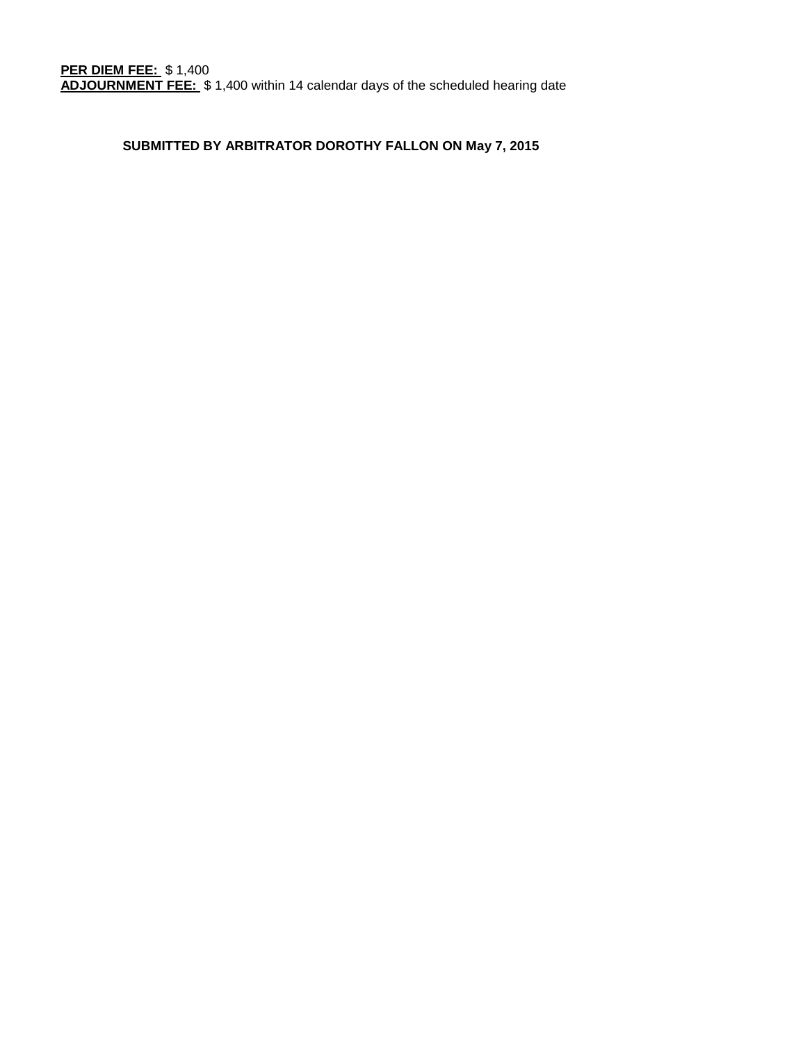# **SUBMITTED BY ARBITRATOR DOROTHY FALLON ON May 7, 2015**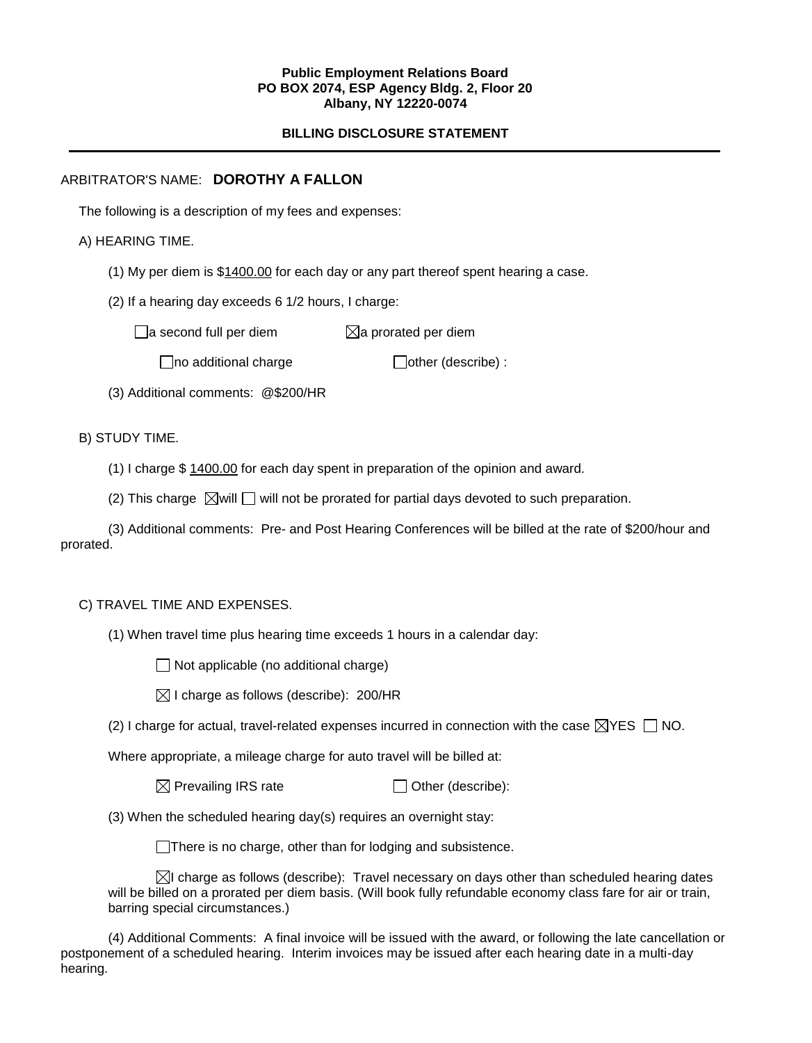#### **Public Employment Relations Board PO BOX 2074, ESP Agency Bldg. 2, Floor 20 Albany, NY 12220-0074**

# **BILLING DISCLOSURE STATEMENT**

# ARBITRATOR'S NAME: **DOROTHY A FALLON**

The following is a description of my fees and expenses:

# A) HEARING TIME.

- (1) My per diem is \$1400.00 for each day or any part thereof spent hearing a case.
- (2) If a hearing day exceeds 6 1/2 hours, I charge:

 $\Box$ a second full per diem  $\boxtimes$ a prorated per diem

 $\Box$ no additional charge  $\Box$ other (describe) :

(3) Additional comments: @\$200/HR

# B) STUDY TIME.

- (1) I charge \$ 1400.00 for each day spent in preparation of the opinion and award.
- (2) This charge  $\boxtimes$  will  $\Box$  will not be prorated for partial days devoted to such preparation.

(3) Additional comments: Pre- and Post Hearing Conferences will be billed at the rate of \$200/hour and prorated.

#### C) TRAVEL TIME AND EXPENSES.

(1) When travel time plus hearing time exceeds 1 hours in a calendar day:

 $\Box$  Not applicable (no additional charge)

|  |  | $\boxtimes$ I charge as follows (describe): 200/HR |  |  |
|--|--|----------------------------------------------------|--|--|
|--|--|----------------------------------------------------|--|--|

(2) I charge for actual, travel-related expenses incurred in connection with the case  $\boxtimes$ YES  $\Box$  NO.

Where appropriate, a mileage charge for auto travel will be billed at:

(3) When the scheduled hearing day(s) requires an overnight stay:

There is no charge, other than for lodging and subsistence.

 $\boxtimes$ I charge as follows (describe): Travel necessary on days other than scheduled hearing dates will be billed on a prorated per diem basis. (Will book fully refundable economy class fare for air or train, barring special circumstances.)

(4) Additional Comments: A final invoice will be issued with the award, or following the late cancellation or postponement of a scheduled hearing. Interim invoices may be issued after each hearing date in a multi-day hearing.